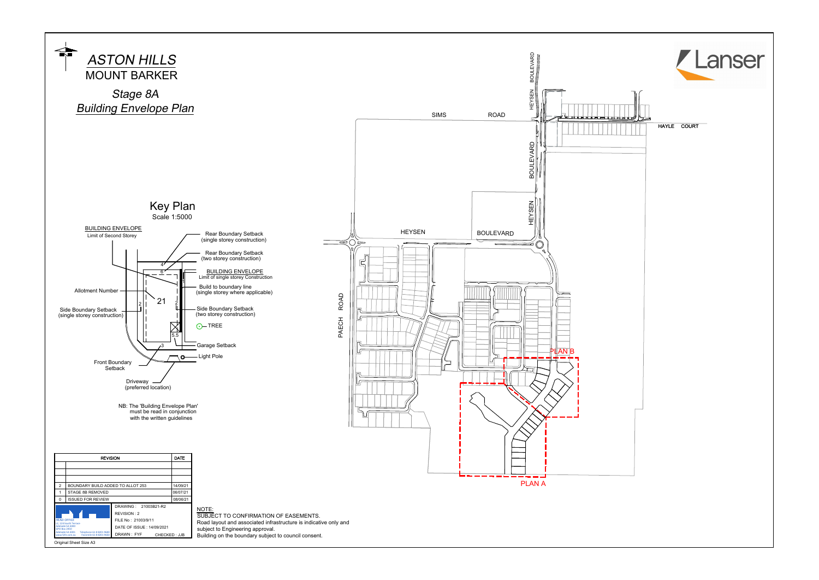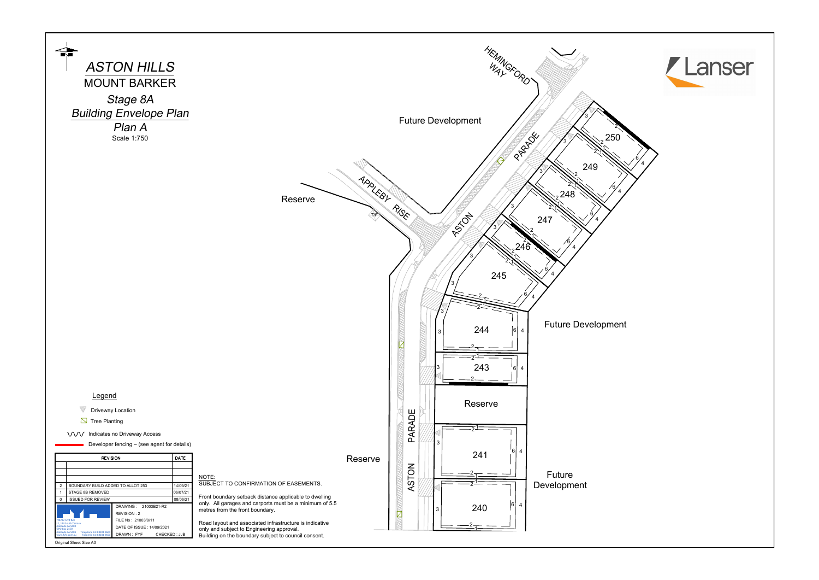